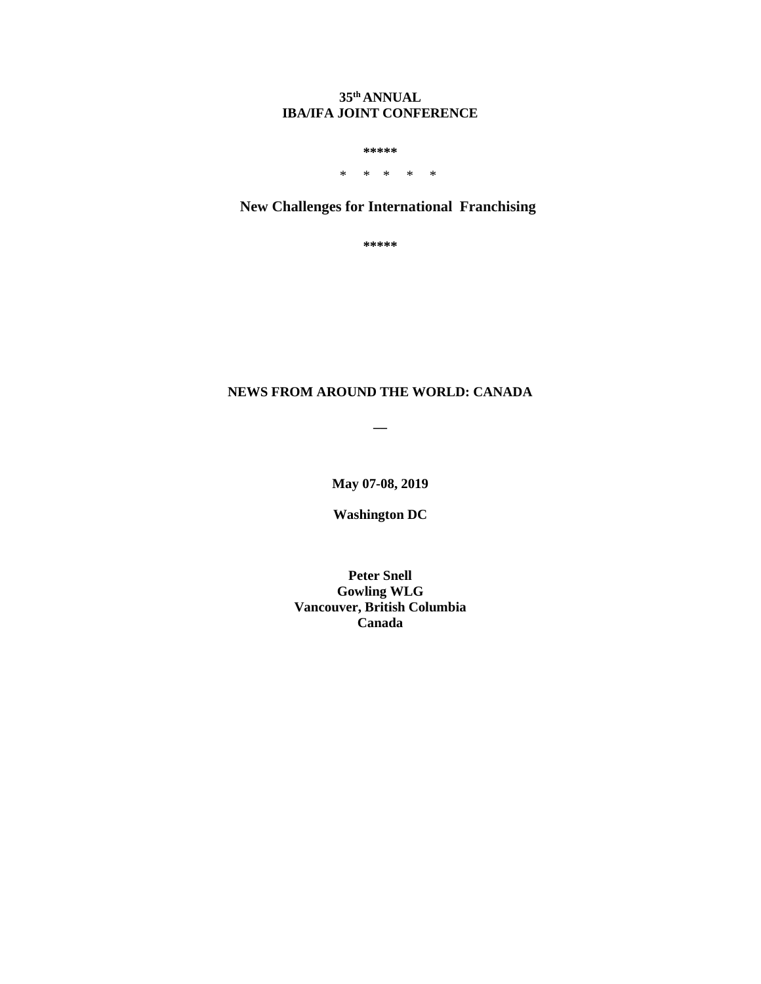## **35 th ANNUAL IBA/IFA JOINT CONFERENCE**

**\*\*\*\*\***

\* \* \* \* \*

# **New Challenges for International Franchising**

**\*\*\*\*\***

## **NEWS FROM AROUND THE WORLD: CANADA**

**\_\_**

**May 07-08, 2019**

**Washington DC**

**Peter Snell Gowling WLG Vancouver, British Columbia Canada**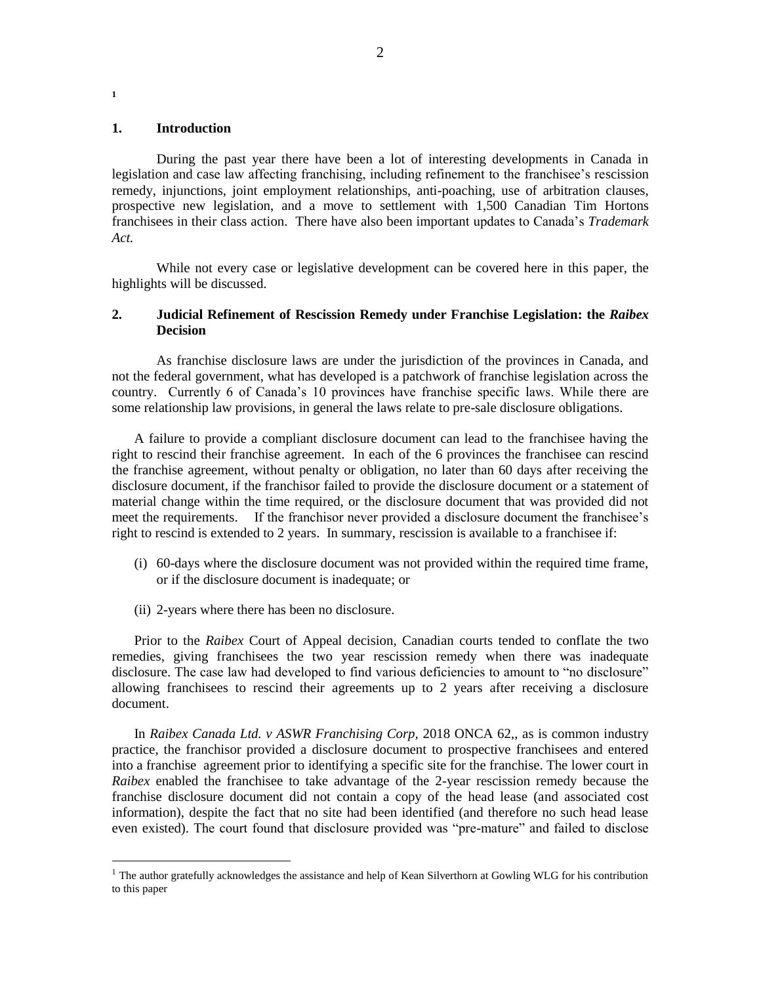#### **1. Introduction**

**1**

 $\overline{a}$ 

During the past year there have been a lot of interesting developments in Canada in legislation and case law affecting franchising, including refinement to the franchisee's rescission remedy, injunctions, joint employment relationships, anti-poaching, use of arbitration clauses, prospective new legislation, and a move to settlement with 1,500 Canadian Tim Hortons franchisees in their class action. There have also been important updates to Canada's *Trademark Act.* 

While not every case or legislative development can be covered here in this paper, the highlights will be discussed.

## **2. Judicial Refinement of Rescission Remedy under Franchise Legislation: the** *Raibex*  **Decision**

As franchise disclosure laws are under the jurisdiction of the provinces in Canada, and not the federal government, what has developed is a patchwork of franchise legislation across the country. Currently 6 of Canada's 10 provinces have franchise specific laws. While there are some relationship law provisions, in general the laws relate to pre-sale disclosure obligations.

A failure to provide a compliant disclosure document can lead to the franchisee having the right to rescind their franchise agreement. In each of the 6 provinces the franchisee can rescind the franchise agreement, without penalty or obligation, no later than 60 days after receiving the disclosure document, if the franchisor failed to provide the disclosure document or a statement of material change within the time required, or the disclosure document that was provided did not meet the requirements. If the franchisor never provided a disclosure document the franchisee's right to rescind is extended to 2 years. In summary, rescission is available to a franchisee if:

- (i) 60-days where the disclosure document was not provided within the required time frame, or if the disclosure document is inadequate; or
- (ii) 2-years where there has been no disclosure.

Prior to the *Raibex* Court of Appeal decision, Canadian courts tended to conflate the two remedies, giving franchisees the two year rescission remedy when there was inadequate disclosure. The case law had developed to find various deficiencies to amount to "no disclosure" allowing franchisees to rescind their agreements up to 2 years after receiving a disclosure document.

In *Raibex Canada Ltd. v ASWR Franchising Corp,* 2018 ONCA 62,, as is common industry practice, the franchisor provided a disclosure document to prospective franchisees and entered into a franchise agreement prior to identifying a specific site for the franchise. The lower court in *Raibex* enabled the franchisee to take advantage of the 2-year rescission remedy because the franchise disclosure document did not contain a copy of the head lease (and associated cost information), despite the fact that no site had been identified (and therefore no such head lease even existed). The court found that disclosure provided was "pre-mature" and failed to disclose

<sup>&</sup>lt;sup>1</sup> The author gratefully acknowledges the assistance and help of Kean Silverthorn at Gowling WLG for his contribution to this paper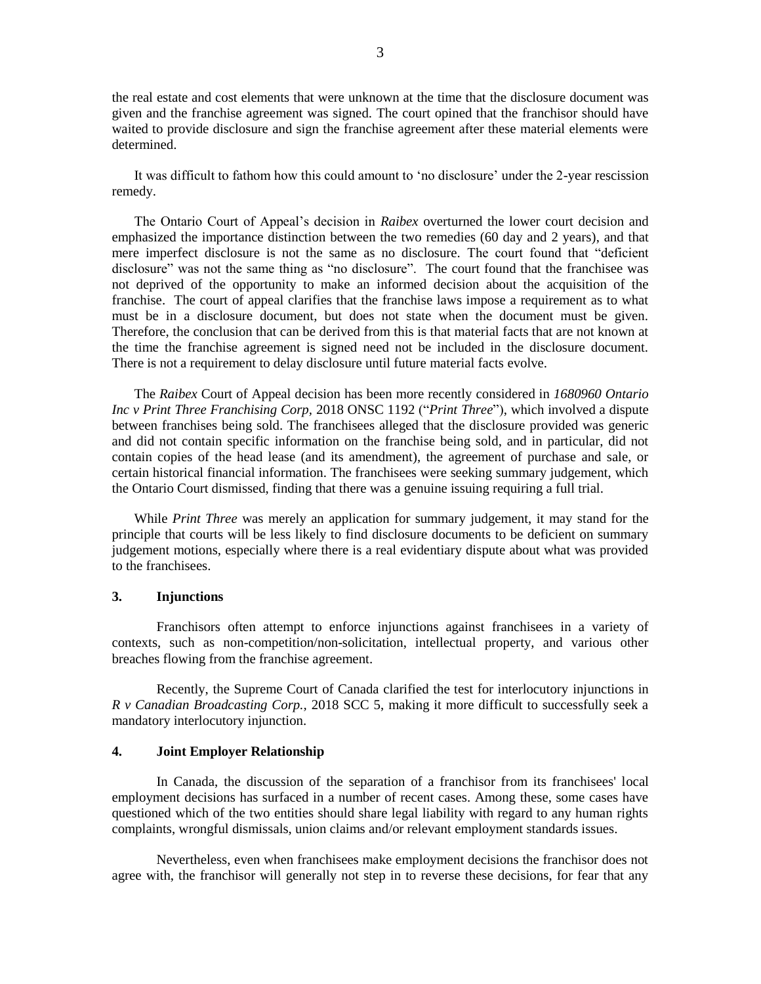the real estate and cost elements that were unknown at the time that the disclosure document was given and the franchise agreement was signed. The court opined that the franchisor should have waited to provide disclosure and sign the franchise agreement after these material elements were determined.

It was difficult to fathom how this could amount to 'no disclosure' under the 2-year rescission remedy.

The Ontario Court of Appeal's decision in *Raibex* overturned the lower court decision and emphasized the importance distinction between the two remedies (60 day and 2 years), and that mere imperfect disclosure is not the same as no disclosure. The court found that "deficient disclosure" was not the same thing as "no disclosure". The court found that the franchisee was not deprived of the opportunity to make an informed decision about the acquisition of the franchise. The court of appeal clarifies that the franchise laws impose a requirement as to what must be in a disclosure document, but does not state when the document must be given. Therefore, the conclusion that can be derived from this is that material facts that are not known at the time the franchise agreement is signed need not be included in the disclosure document. There is not a requirement to delay disclosure until future material facts evolve.

The *Raibex* Court of Appeal decision has been more recently considered in *1680960 Ontario Inc v Print Three Franchising Corp,* 2018 ONSC 1192 ("*Print Three*"), which involved a dispute between franchises being sold. The franchisees alleged that the disclosure provided was generic and did not contain specific information on the franchise being sold, and in particular, did not contain copies of the head lease (and its amendment), the agreement of purchase and sale, or certain historical financial information. The franchisees were seeking summary judgement, which the Ontario Court dismissed, finding that there was a genuine issuing requiring a full trial.

While *Print Three* was merely an application for summary judgement, it may stand for the principle that courts will be less likely to find disclosure documents to be deficient on summary judgement motions, especially where there is a real evidentiary dispute about what was provided to the franchisees.

## **3. Injunctions**

Franchisors often attempt to enforce injunctions against franchisees in a variety of contexts, such as non-competition/non-solicitation, intellectual property, and various other breaches flowing from the franchise agreement.

Recently, the Supreme Court of Canada clarified the test for interlocutory injunctions in *R v Canadian Broadcasting Corp.,* 2018 SCC 5, making it more difficult to successfully seek a mandatory interlocutory injunction.

#### **4. Joint Employer Relationship**

In Canada, the discussion of the separation of a franchisor from its franchisees' local employment decisions has surfaced in a number of recent cases. Among these, some cases have questioned which of the two entities should share legal liability with regard to any human rights complaints, wrongful dismissals, union claims and/or relevant employment standards issues.

Nevertheless, even when franchisees make employment decisions the franchisor does not agree with, the franchisor will generally not step in to reverse these decisions, for fear that any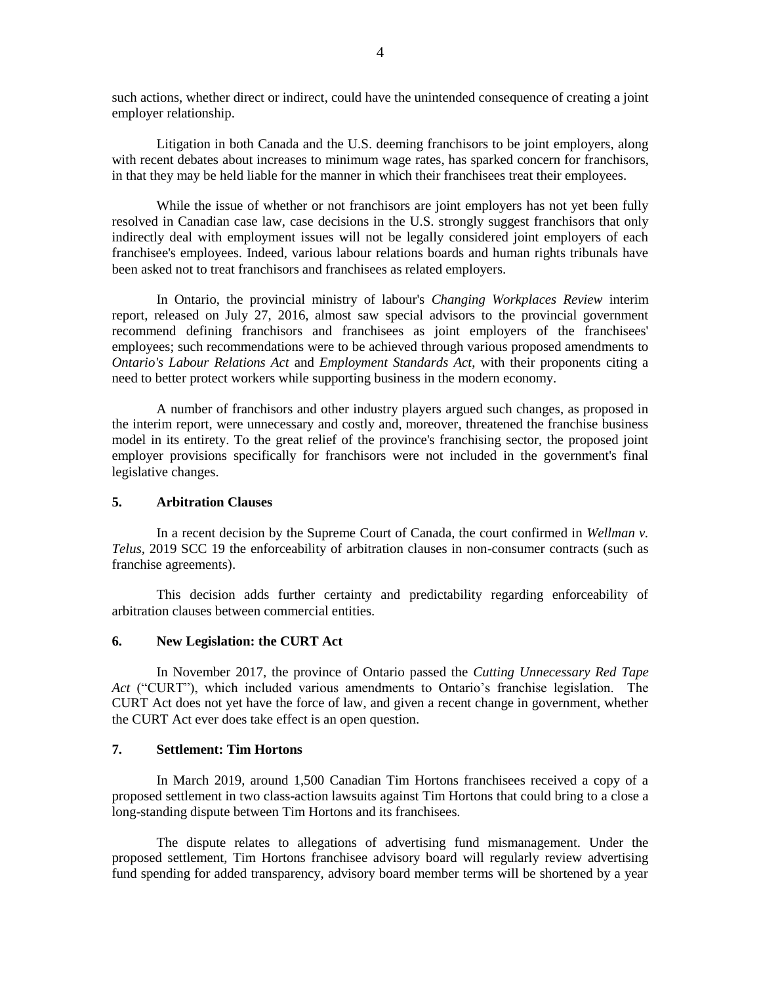such actions, whether direct or indirect, could have the unintended consequence of creating a joint employer relationship.

Litigation in both Canada and the U.S. deeming franchisors to be joint employers, along with recent debates about increases to minimum wage rates, has sparked concern for franchisors, in that they may be held liable for the manner in which their franchisees treat their employees.

While the issue of whether or not franchisors are joint employers has not yet been fully resolved in Canadian case law, case decisions in the U.S. strongly suggest franchisors that only indirectly deal with employment issues will not be legally considered joint employers of each franchisee's employees. Indeed, various labour relations boards and human rights tribunals have been asked not to treat franchisors and franchisees as related employers.

In Ontario, the provincial ministry of labour's *Changing Workplaces Review* interim report, released on July 27, 2016, almost saw special advisors to the provincial government recommend defining franchisors and franchisees as joint employers of the franchisees' employees; such recommendations were to be achieved through various proposed amendments to *Ontario's Labour Relations Act* and *Employment Standards Act*, with their proponents citing a need to better protect workers while supporting business in the modern economy.

A number of franchisors and other industry players argued such changes, as proposed in the interim report, were unnecessary and costly and, moreover, threatened the franchise business model in its entirety. To the great relief of the province's franchising sector, the proposed joint employer provisions specifically for franchisors were not included in the government's final legislative changes.

## **5. Arbitration Clauses**

In a recent decision by the Supreme Court of Canada, the court confirmed in *Wellman v. Telus,* 2019 SCC 19 the enforceability of arbitration clauses in non-consumer contracts (such as franchise agreements).

This decision adds further certainty and predictability regarding enforceability of arbitration clauses between commercial entities.

#### **6. New Legislation: the CURT Act**

In November 2017, the province of Ontario passed the *Cutting Unnecessary Red Tape Act* ("CURT"), which included various amendments to Ontario's franchise legislation. The CURT Act does not yet have the force of law, and given a recent change in government, whether the CURT Act ever does take effect is an open question.

#### **7. Settlement: Tim Hortons**

In March 2019, around 1,500 Canadian Tim Hortons franchisees received a copy of a proposed settlement in two class-action lawsuits against Tim Hortons that could bring to a close a long-standing dispute between Tim Hortons and its franchisees.

The dispute relates to allegations of advertising fund mismanagement. Under the proposed settlement, Tim Hortons franchisee advisory board will regularly review advertising fund spending for added transparency, advisory board member terms will be shortened by a year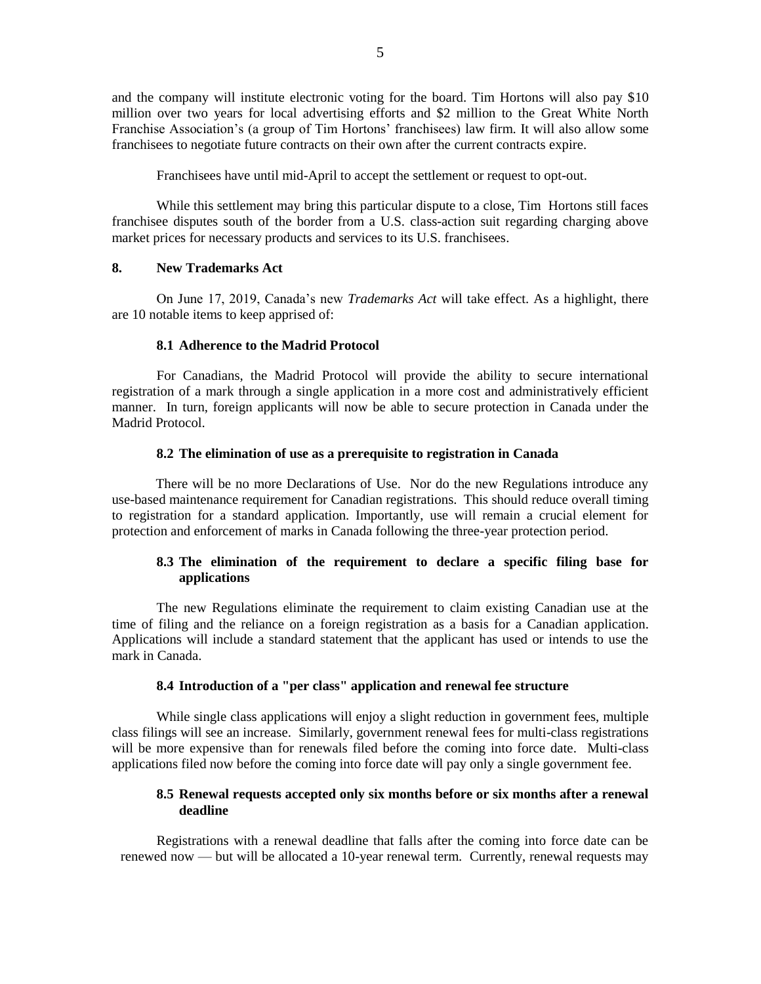and the company will institute electronic voting for the board. Tim Hortons will also pay \$10 million over two years for local advertising efforts and \$2 million to the Great White North Franchise Association's (a group of Tim Hortons' franchisees) law firm. It will also allow some franchisees to negotiate future contracts on their own after the current contracts expire.

Franchisees have until mid-April to accept the settlement or request to opt-out.

While this settlement may bring this particular dispute to a close, Tim Hortons still faces franchisee disputes south of the border from a U.S. class-action suit regarding charging above market prices for necessary products and services to its U.S. franchisees.

## **8. New Trademarks Act**

On June 17, 2019, Canada's new *Trademarks Act* will take effect. As a highlight, there are 10 notable items to keep apprised of:

#### **8.1 Adherence to the Madrid Protocol**

For Canadians, the Madrid Protocol will provide the ability to secure international registration of a mark through a single application in a more cost and administratively efficient manner. In turn, foreign applicants will now be able to secure protection in Canada under the Madrid Protocol.

#### **8.2 The elimination of use as a prerequisite to registration in Canada**

There will be no more Declarations of Use. Nor do the new Regulations introduce any use-based maintenance requirement for Canadian registrations. This should reduce overall timing to registration for a standard application. Importantly, use will remain a crucial element for protection and enforcement of marks in Canada following the three-year protection period.

## **8.3 The elimination of the requirement to declare a specific filing base for applications**

The new Regulations eliminate the requirement to claim existing Canadian use at the time of filing and the reliance on a foreign registration as a basis for a Canadian application. Applications will include a standard statement that the applicant has used or intends to use the mark in Canada.

#### **8.4 Introduction of a "per class" application and renewal fee structure**

While single class applications will enjoy a slight reduction in government fees, multiple class filings will see an increase. Similarly, government renewal fees for multi-class registrations will be more expensive than for renewals filed before the coming into force date. Multi-class applications filed now before the coming into force date will pay only a single government fee.

## **8.5 Renewal requests accepted only six months before or six months after a renewal deadline**

Registrations with a renewal deadline that falls after the coming into force date can be renewed now — but will be allocated a 10-year renewal term. Currently, renewal requests may